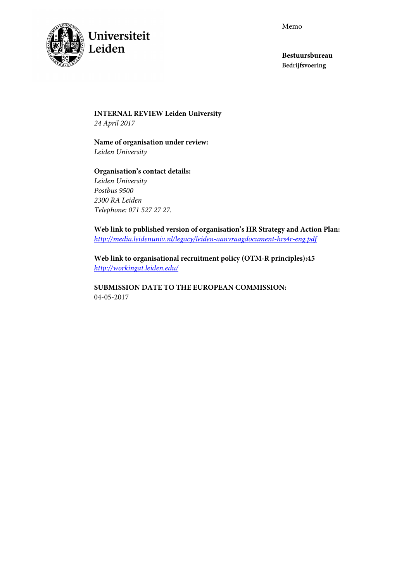Memo



**Bestuursbureau Bedrijfsvoering** 

**INTERNAL REVIEW Leiden University**  *24 April 2017* 

**Name of organisation under review:**  *Leiden University* 

**Organisation's contact details:** *Leiden University Postbus 9500 2300 RA Leiden Telephone: 071 527 27 27.* 

**Web link to published version of organisation's HR Strategy and Action Plan:** *http://media.leidenuniv.nl/legacy/leiden-aanvraagdocument-hrs4r-eng.pdf*

**Web link to organisational recruitment policy (OTM-R principles):45**  *http://workingat.leiden.edu/* 

**SUBMISSION DATE TO THE EUROPEAN COMMISSION:**  04-05-2017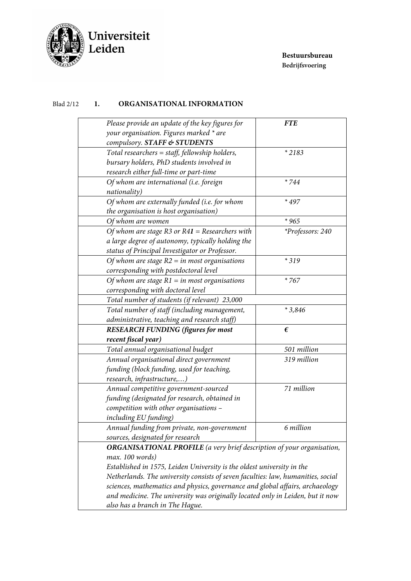

### Blad 2/12 **1. ORGANISATIONAL INFORMATION**

| Please provide an update of the key figures for                                  | <b>FTE</b>                                                                    |  |  |  |
|----------------------------------------------------------------------------------|-------------------------------------------------------------------------------|--|--|--|
| your organisation. Figures marked * are                                          |                                                                               |  |  |  |
| compulsory. STAFF & STUDENTS                                                     |                                                                               |  |  |  |
| Total researchers = staff, fellowship holders,                                   | $*2183$                                                                       |  |  |  |
| bursary holders, PhD students involved in                                        |                                                                               |  |  |  |
| research either full-time or part-time                                           |                                                                               |  |  |  |
| Of whom are international (i.e. foreign                                          | $* 744$                                                                       |  |  |  |
| nationality)                                                                     |                                                                               |  |  |  |
| Of whom are externally funded (i.e. for whom                                     | $*497$                                                                        |  |  |  |
| the organisation is host organisation)                                           |                                                                               |  |  |  |
| Of whom are women                                                                | $*965$                                                                        |  |  |  |
| Of whom are stage R3 or $R41$ = Researchers with                                 | *Professors: 240                                                              |  |  |  |
| a large degree of autonomy, typically holding the                                |                                                                               |  |  |  |
| status of Principal Investigator or Professor.                                   |                                                                               |  |  |  |
| Of whom are stage $R2 = in$ most organisations                                   | $*319$                                                                        |  |  |  |
| corresponding with postdoctoral level                                            |                                                                               |  |  |  |
| Of whom are stage $R1 = in$ most organisations                                   | $*767$                                                                        |  |  |  |
| corresponding with doctoral level                                                |                                                                               |  |  |  |
| Total number of students (if relevant) 23,000                                    |                                                                               |  |  |  |
| Total number of staff (including management,                                     | $*3,846$                                                                      |  |  |  |
| administrative, teaching and research staff)                                     |                                                                               |  |  |  |
| <b>RESEARCH FUNDING (figures for most</b>                                        | $\pmb{\epsilon}$                                                              |  |  |  |
| recent fiscal year)                                                              |                                                                               |  |  |  |
| Total annual organisational budget                                               | 501 million                                                                   |  |  |  |
| Annual organisational direct government                                          | 319 million                                                                   |  |  |  |
| funding (block funding, used for teaching,                                       |                                                                               |  |  |  |
| research, infrastructure,)                                                       |                                                                               |  |  |  |
| Annual competitive government-sourced                                            | 71 million                                                                    |  |  |  |
| funding (designated for research, obtained in                                    |                                                                               |  |  |  |
| competition with other organisations -                                           |                                                                               |  |  |  |
| including EU funding)                                                            |                                                                               |  |  |  |
| Annual funding from private, non-government                                      | 6 million                                                                     |  |  |  |
| sources, designated for research                                                 |                                                                               |  |  |  |
| <b>ORGANISATIONAL PROFILE</b> (a very brief description of your organisation,    |                                                                               |  |  |  |
| max. 100 words)                                                                  |                                                                               |  |  |  |
| Established in 1575, Leiden University is the oldest university in the           |                                                                               |  |  |  |
| Netherlands. The university consists of seven faculties: law, humanities, social |                                                                               |  |  |  |
|                                                                                  | sciences, mathematics and physics, governance and global affairs, archaeology |  |  |  |
| and medicine. The university was originally located only in Leiden, but it now   |                                                                               |  |  |  |
| also has a branch in The Hague.                                                  |                                                                               |  |  |  |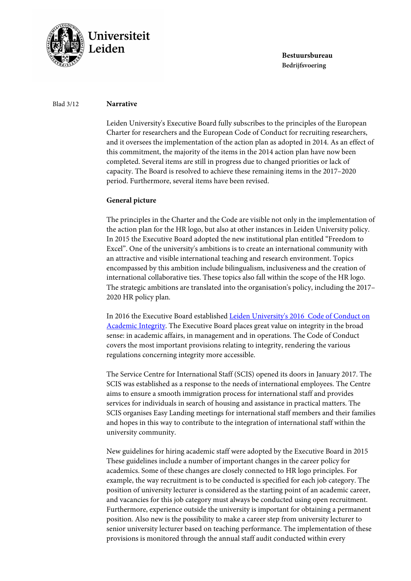

#### Blad 3/12 **Narrative**

Leiden University's Executive Board fully subscribes to the principles of the European Charter for researchers and the European Code of Conduct for recruiting researchers, and it oversees the implementation of the action plan as adopted in 2014. As an effect of this commitment, the majority of the items in the 2014 action plan have now been completed. Several items are still in progress due to changed priorities or lack of capacity. The Board is resolved to achieve these remaining items in the 2017–2020 period. Furthermore, several items have been revised.

#### **General picture**

The principles in the Charter and the Code are visible not only in the implementation of the action plan for the HR logo, but also at other instances in Leiden University policy. In 2015 the Executive Board adopted the new institutional plan entitled "Freedom to Excel". One of the university's ambitions is to create an international community with an attractive and visible international teaching and research environment. Topics encompassed by this ambition include bilingualism, inclusiveness and the creation of international collaborative ties. These topics also fall within the scope of the HR logo. The strategic ambitions are translated into the organisation's policy, including the 2017– 2020 HR policy plan.

In 2016 the Executive Board established Leiden University's 2016 Code of Conduct on Academic Integrity. The Executive Board places great value on integrity in the broad sense: in academic affairs, in management and in operations. The Code of Conduct covers the most important provisions relating to integrity, rendering the various regulations concerning integrity more accessible.

The Service Centre for International Staff (SCIS) opened its doors in January 2017. The SCIS was established as a response to the needs of international employees. The Centre aims to ensure a smooth immigration process for international staff and provides services for individuals in search of housing and assistance in practical matters. The SCIS organises Easy Landing meetings for international staff members and their families and hopes in this way to contribute to the integration of international staff within the university community.

New guidelines for hiring academic staff were adopted by the Executive Board in 2015 These guidelines include a number of important changes in the career policy for academics. Some of these changes are closely connected to HR logo principles. For example, the way recruitment is to be conducted is specified for each job category. The position of university lecturer is considered as the starting point of an academic career, and vacancies for this job category must always be conducted using open recruitment. Furthermore, experience outside the university is important for obtaining a permanent position. Also new is the possibility to make a career step from university lecturer to senior university lecturer based on teaching performance. The implementation of these provisions is monitored through the annual staff audit conducted within every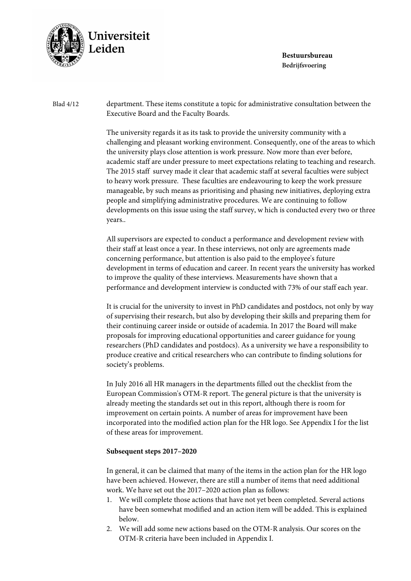

Blad 4/12 department. These items constitute a topic for administrative consultation between the Executive Board and the Faculty Boards.

> The university regards it as its task to provide the university community with a challenging and pleasant working environment. Consequently, one of the areas to which the university plays close attention is work pressure. Now more than ever before, academic staff are under pressure to meet expectations relating to teaching and research. The 2015 staff survey made it clear that academic staff at several faculties were subject to heavy work pressure. These faculties are endeavouring to keep the work pressure manageable, by such means as prioritising and phasing new initiatives, deploying extra people and simplifying administrative procedures. We are continuing to follow developments on this issue using the staff survey, w hich is conducted every two or three years..

> All supervisors are expected to conduct a performance and development review with their staff at least once a year. In these interviews, not only are agreements made concerning performance, but attention is also paid to the employee's future development in terms of education and career. In recent years the university has worked to improve the quality of these interviews. Measurements have shown that a performance and development interview is conducted with 73% of our staff each year.

> It is crucial for the university to invest in PhD candidates and postdocs, not only by way of supervising their research, but also by developing their skills and preparing them for their continuing career inside or outside of academia. In 2017 the Board will make proposals for improving educational opportunities and career guidance for young researchers (PhD candidates and postdocs). As a university we have a responsibility to produce creative and critical researchers who can contribute to finding solutions for society's problems.

In July 2016 all HR managers in the departments filled out the checklist from the European Commission's OTM-R report. The general picture is that the university is already meeting the standards set out in this report, although there is room for improvement on certain points. A number of areas for improvement have been incorporated into the modified action plan for the HR logo. See Appendix I for the list of these areas for improvement.

#### **Subsequent steps 2017–2020**

In general, it can be claimed that many of the items in the action plan for the HR logo have been achieved. However, there are still a number of items that need additional work. We have set out the 2017–2020 action plan as follows:

- 1. We will complete those actions that have not yet been completed. Several actions have been somewhat modified and an action item will be added. This is explained below.
- 2. We will add some new actions based on the OTM-R analysis. Our scores on the OTM-R criteria have been included in Appendix I.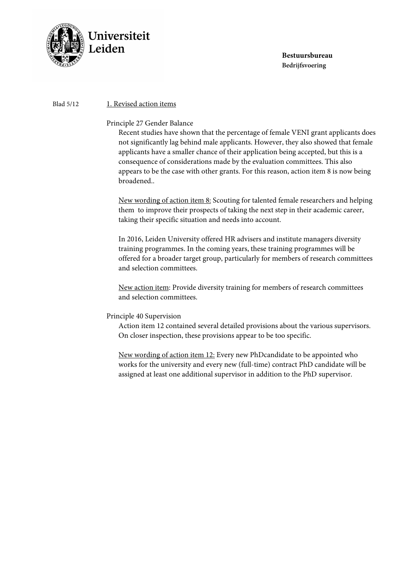

#### Blad  $5/12$  1. Revised action items

### Principle 27 Gender Balance

Recent studies have shown that the percentage of female VENI grant applicants does not significantly lag behind male applicants. However, they also showed that female applicants have a smaller chance of their application being accepted, but this is a consequence of considerations made by the evaluation committees. This also appears to be the case with other grants. For this reason, action item 8 is now being broadened..

New wording of action item 8: Scouting for talented female researchers and helping them to improve their prospects of taking the next step in their academic career, taking their specific situation and needs into account.

In 2016, Leiden University offered HR advisers and institute managers diversity training programmes. In the coming years, these training programmes will be offered for a broader target group, particularly for members of research committees and selection committees.

New action item: Provide diversity training for members of research committees and selection committees.

## Principle 40 Supervision

Action item 12 contained several detailed provisions about the various supervisors. On closer inspection, these provisions appear to be too specific.

New wording of action item 12: Every new PhDcandidate to be appointed who works for the university and every new (full-time) contract PhD candidate will be assigned at least one additional supervisor in addition to the PhD supervisor.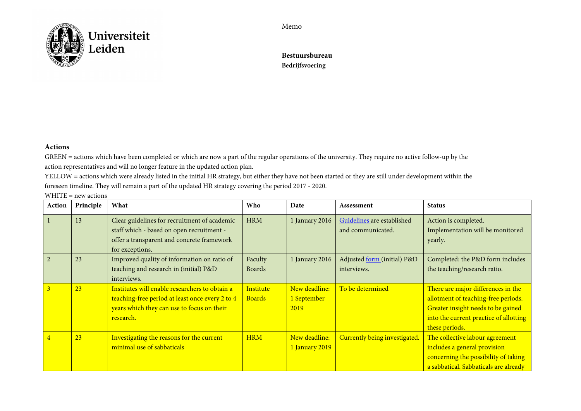

Memo

**BestuursbureauBedrijfsvoering** 

#### **Actions**

GREEN = actions which have been completed or which are now a part of the regular operations of the university. They require no active follow-up by the action representatives and will no longer feature in the updated action plan.

YELLOW = actions which were already listed in the initial HR strategy, but either they have not been started or they are still under development within the foreseen timeline. They will remain a part of the updated HR strategy covering the period 2017 - 2020.

 $WHITE = new actions$ 

| Action | Principle | What                                                                                                                                                         | <b>Who</b>                 | Date                                 | Assessment                                      | <b>Status</b>                                                                                                                                                               |
|--------|-----------|--------------------------------------------------------------------------------------------------------------------------------------------------------------|----------------------------|--------------------------------------|-------------------------------------------------|-----------------------------------------------------------------------------------------------------------------------------------------------------------------------------|
|        | 13        | Clear guidelines for recruitment of academic<br>staff which - based on open recruitment -<br>offer a transparent and concrete framework<br>for exceptions.   | <b>HRM</b>                 | 1 January 2016                       | Guidelines are established<br>and communicated. | Action is completed.<br>Implementation will be monitored<br>yearly.                                                                                                         |
|        | 23        | Improved quality of information on ratio of<br>teaching and research in (initial) P&D<br>interviews.                                                         | Faculty<br><b>Boards</b>   | 1 January 2016                       | Adjusted form (initial) P&D<br>interviews.      | Completed: the P&D form includes<br>the teaching/research ratio.                                                                                                            |
|        | 23        | Institutes will enable researchers to obtain a<br>teaching-free period at least once every 2 to 4<br>years which they can use to focus on their<br>research. | Institute<br><b>Boards</b> | New deadline:<br>1 September<br>2019 | To be determined                                | There are major differences in the<br>allotment of teaching-free periods.<br>Greater insight needs to be gained<br>into the current practice of allotting<br>these periods. |
|        | 23        | Investigating the reasons for the current<br>minimal use of sabbaticals                                                                                      | <b>HRM</b>                 | New deadline:<br>1 January 2019      | Currently being investigated.                   | The collective labour agreement<br>includes a general provision<br>concerning the possibility of taking<br>a sabbatical. Sabbaticals are already                            |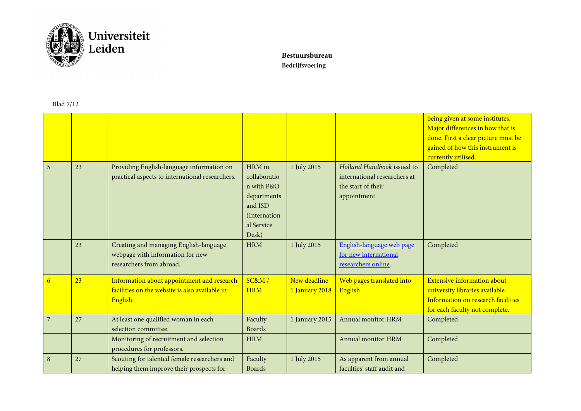

# Blad 7/12

|                |    |                                                                                                          |                                                                                                       |                                |                                                                                                 | being given at some institutes.<br>Major differences in how that is<br>done. First a clear picture must be<br>gained of how this instrument is<br>currently utilised. |
|----------------|----|----------------------------------------------------------------------------------------------------------|-------------------------------------------------------------------------------------------------------|--------------------------------|-------------------------------------------------------------------------------------------------|-----------------------------------------------------------------------------------------------------------------------------------------------------------------------|
| 5              | 23 | Providing English-language information on<br>practical aspects to international researchers.             | HRM in<br>collaboratio<br>n with P&O<br>departments<br>and ISD<br>(Internation<br>al Service<br>Desk) | 1 July 2015                    | Holland Handbook issued to<br>international researchers at<br>the start of their<br>appointment | Completed                                                                                                                                                             |
|                | 23 | Creating and managing English-language<br>webpage with information for new<br>researchers from abroad.   | <b>HRM</b>                                                                                            | 1 July 2015                    | English-language web page<br>for new international<br>researchers online.                       | Completed                                                                                                                                                             |
| 6              | 23 | Information about appointment and research<br>facilities on the website is also available in<br>English. | SC&M/<br><b>HRM</b>                                                                                   | New deadline<br>1 January 2018 | Web pages translated into<br><b>English</b>                                                     | <b>Extensive information about</b><br>university libraries available.<br>Information on research facilities<br>for each faculty not complete.                         |
| $\overline{7}$ | 27 | At least one qualified woman in each<br>selection committee.                                             | Faculty<br><b>Boards</b>                                                                              | 1 January 2015                 | Annual monitor HRM                                                                              | Completed                                                                                                                                                             |
|                |    | Monitoring of recruitment and selection<br>procedures for professors.                                    | <b>HRM</b>                                                                                            |                                | Annual monitor HRM                                                                              | Completed                                                                                                                                                             |
| 8              | 27 | Scouting for talented female researchers and<br>helping them improve their prospects for                 | Faculty<br><b>Boards</b>                                                                              | 1 July 2015                    | As apparent from annual<br>faculties' staff audit and                                           | Completed                                                                                                                                                             |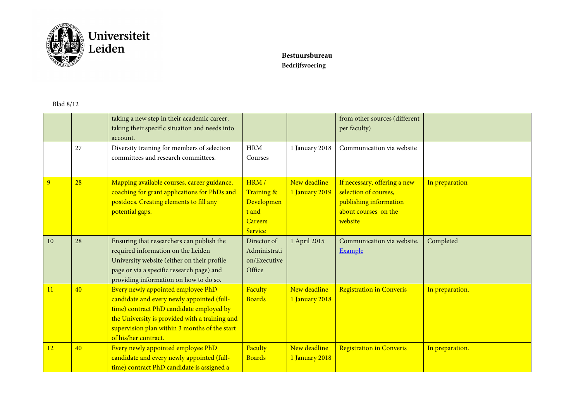

# **Bestuursbureau**

# **Bedrijfsvoering**

## Blad 8/12

|    | 27 | taking a new step in their academic career,<br>taking their specific situation and needs into<br>account.<br>Diversity training for members of selection                                                                                                | <b>HRM</b>                                                             | 1 January 2018                 | from other sources (different<br>per faculty)<br>Communication via website                                         |                 |
|----|----|---------------------------------------------------------------------------------------------------------------------------------------------------------------------------------------------------------------------------------------------------------|------------------------------------------------------------------------|--------------------------------|--------------------------------------------------------------------------------------------------------------------|-----------------|
|    |    | committees and research committees.                                                                                                                                                                                                                     | Courses                                                                |                                |                                                                                                                    |                 |
| 9  | 28 | Mapping available courses, career guidance,<br>coaching for grant applications for PhDs and<br>postdocs. Creating elements to fill any<br>potential gaps.                                                                                               | HRM/<br>Training &<br>Developmen<br>t and<br><b>Careers</b><br>Service | New deadline<br>1 January 2019 | If necessary, offering a new<br>selection of courses,<br>publishing information<br>about courses on the<br>website | In preparation  |
| 10 | 28 | Ensuring that researchers can publish the<br>required information on the Leiden<br>University website (either on their profile<br>page or via a specific research page) and<br>providing information on how to do so.                                   | Director of<br>Administrati<br>on/Executive<br>Office                  | 1 April 2015                   | Communication via website.<br>Example                                                                              | Completed       |
| 11 | 40 | Every newly appointed employee PhD<br>candidate and every newly appointed (full-<br>time) contract PhD candidate employed by<br>the University is provided with a training and<br>supervision plan within 3 months of the start<br>of his/her contract. | Faculty<br><b>Boards</b>                                               | New deadline<br>1 January 2018 | <b>Registration in Converis</b>                                                                                    | In preparation. |
| 12 | 40 | Every newly appointed employee PhD<br>candidate and every newly appointed (full-<br>time) contract PhD candidate is assigned a                                                                                                                          | Faculty<br><b>Boards</b>                                               | New deadline<br>1 January 2018 | <b>Registration in Converis</b>                                                                                    | In preparation. |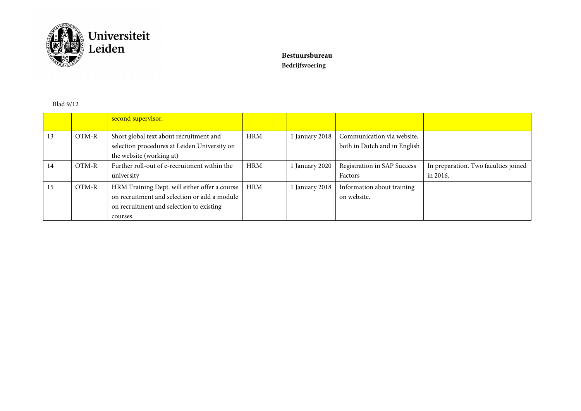

# **Bestuursbureau**

**Bedrijfsvoering** 

## Blad 9/12

|    |       | second supervisor.                                                                                                                                    |            |              |                                                            |                                                  |
|----|-------|-------------------------------------------------------------------------------------------------------------------------------------------------------|------------|--------------|------------------------------------------------------------|--------------------------------------------------|
| 13 | OTM-R | Short global text about recruitment and<br>selection procedures at Leiden University on<br>the website (working at)                                   | <b>HRM</b> | January 2018 | Communication via website,<br>both in Dutch and in English |                                                  |
| 14 | OTM-R | Further roll-out of e-recruitment within the<br>university                                                                                            | <b>HRM</b> | January 2020 | Registration in SAP Success<br>Factors                     | In preparation. Two faculties joined<br>in 2016. |
| 15 | OTM-R | HRM Training Dept. will either offer a course<br>on recruitment and selection or add a module<br>on recruitment and selection to existing<br>courses. | <b>HRM</b> | January 2018 | Information about training<br>on website.                  |                                                  |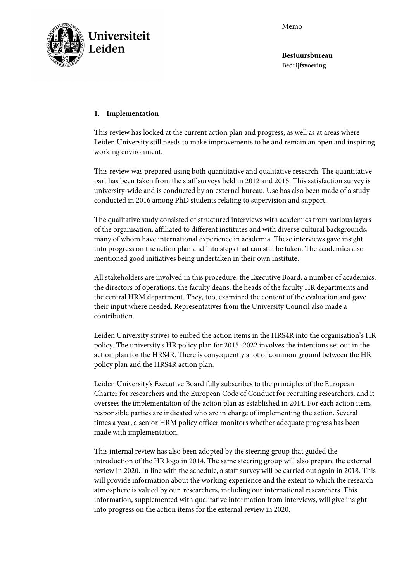Memo



**Bestuursbureau Bedrijfsvoering** 

#### **1. Implementation**

This review has looked at the current action plan and progress, as well as at areas where Leiden University still needs to make improvements to be and remain an open and inspiring working environment.

This review was prepared using both quantitative and qualitative research. The quantitative part has been taken from the staff surveys held in 2012 and 2015. This satisfaction survey is university-wide and is conducted by an external bureau. Use has also been made of a study conducted in 2016 among PhD students relating to supervision and support.

The qualitative study consisted of structured interviews with academics from various layers of the organisation, affiliated to different institutes and with diverse cultural backgrounds, many of whom have international experience in academia. These interviews gave insight into progress on the action plan and into steps that can still be taken. The academics also mentioned good initiatives being undertaken in their own institute.

All stakeholders are involved in this procedure: the Executive Board, a number of academics, the directors of operations, the faculty deans, the heads of the faculty HR departments and the central HRM department. They, too, examined the content of the evaluation and gave their input where needed. Representatives from the University Council also made a contribution.

Leiden University strives to embed the action items in the HRS4R into the organisation's HR policy. The university's HR policy plan for 2015–2022 involves the intentions set out in the action plan for the HRS4R. There is consequently a lot of common ground between the HR policy plan and the HRS4R action plan.

Leiden University's Executive Board fully subscribes to the principles of the European Charter for researchers and the European Code of Conduct for recruiting researchers, and it oversees the implementation of the action plan as established in 2014. For each action item, responsible parties are indicated who are in charge of implementing the action. Several times a year, a senior HRM policy officer monitors whether adequate progress has been made with implementation.

This internal review has also been adopted by the steering group that guided the introduction of the HR logo in 2014. The same steering group will also prepare the external review in 2020. In line with the schedule, a staff survey will be carried out again in 2018. This will provide information about the working experience and the extent to which the research atmosphere is valued by our researchers, including our international researchers. This information, supplemented with qualitative information from interviews, will give insight into progress on the action items for the external review in 2020.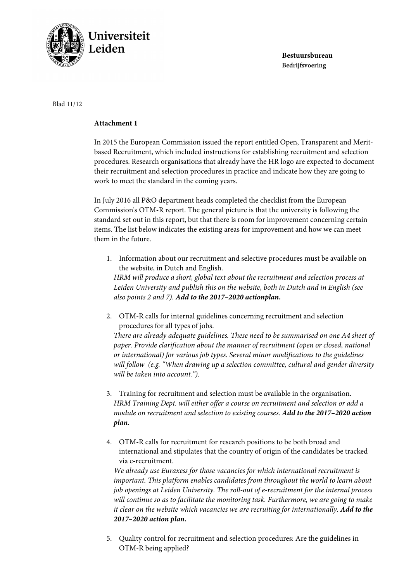

Blad 11/12

#### **Attachment 1**

In 2015 the European Commission issued the report entitled Open, Transparent and Meritbased Recruitment, which included instructions for establishing recruitment and selection procedures. Research organisations that already have the HR logo are expected to document their recruitment and selection procedures in practice and indicate how they are going to work to meet the standard in the coming years.

In July 2016 all P&O department heads completed the checklist from the European Commission's OTM-R report. The general picture is that the university is following the standard set out in this report, but that there is room for improvement concerning certain items. The list below indicates the existing areas for improvement and how we can meet them in the future.

1. Information about our recruitment and selective procedures must be available on the website, in Dutch and English.

*HRM will produce a short, global text about the recruitment and selection process at Leiden University and publish this on the website, both in Dutch and in English (see also points 2 and 7).* **Add to the 2017–2020 actionplan.** 

2. OTM-R calls for internal guidelines concerning recruitment and selection procedures for all types of jobs.

*There are already adequate guidelines. These need to be summarised on one A4 sheet of paper. Provide clarification about the manner of recruitment (open or closed, national or international) for various job types. Several minor modifications to the guidelines will follow (e.g. "When drawing up a selection committee, cultural and gender diversity will be taken into account.").* 

- 3. Training for recruitment and selection must be available in the organisation. *HRM Training Dept. will either offer a course on recruitment and selection or add a module on recruitment and selection to existing courses.* **Add to the 2017–2020 action plan.**
- 4. OTM-R calls for recruitment for research positions to be both broad and international and stipulates that the country of origin of the candidates be tracked via e-recruitment.

*We already use Euraxess for those vacancies for which international recruitment is*  important. This platform enables candidates from throughout the world to learn about *job openings at Leiden University. The roll-out of e-recruitment for the internal process will continue so as to facilitate the monitoring task. Furthermore, we are going to make it clear on the website which vacancies we are recruiting for internationally.* **Add to the 2017–2020 action plan.** 

5. Quality control for recruitment and selection procedures: Are the guidelines in OTM-R being applied?